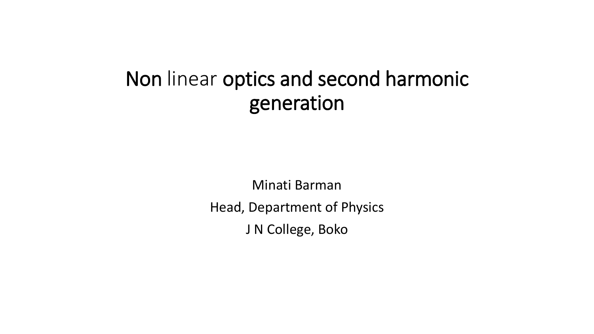## Non linear optics and second harmonic generation

Minati Barman Head, Department of Physics J N College, Boko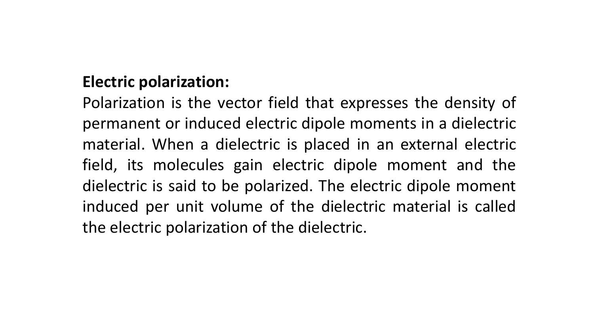## **Electric polarization:**

Polarization is the vector field that expresses the density of permanent or induced electric dipole moments in a dielectric material. When a dielectric is placed in an external electric field, its molecules gain electric dipole moment and the dielectric is said to be polarized. The electric dipole moment induced per unit volume of the dielectric material is called the electric polarization of the dielectric.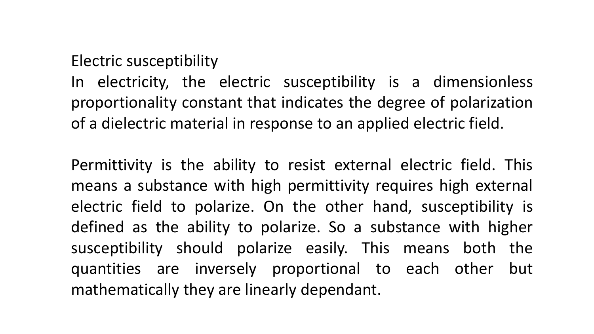## Electric susceptibility

In electricity, the electric susceptibility is a dimensionless proportionality constant that indicates the degree of polarization of a dielectric material in response to an applied electric field.

Permittivity is the ability to resist external electric field. This means a substance with high permittivity requires high external electric field to polarize. On the other hand, susceptibility is defined as the ability to polarize. So a substance with higher susceptibility should polarize easily. This means both the quantities are inversely proportional to each other but mathematically they are linearly dependant.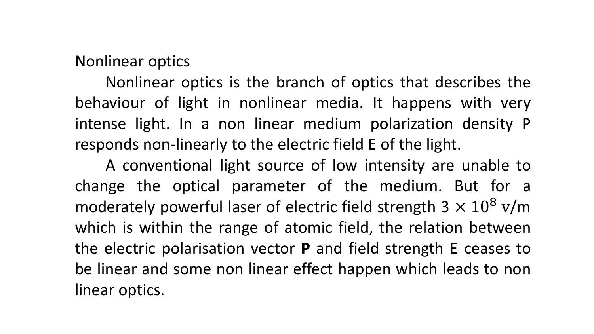Nonlinear optics

Nonlinear optics is the branch of optics that describes the behaviour of light in nonlinear media. It happens with very intense light. In a non linear medium polarization density P responds non-linearly to the electric field E of the light.

A conventional light source of low intensity are unable to change the optical parameter of the medium. But for a moderately powerful laser of electric field strength  $3 \times 10^8$  v/m which is within the range of atomic field, the relation between the electric polarisation vector **P** and field strength E ceases to be linear and some non linear effect happen which leads to non linear optics.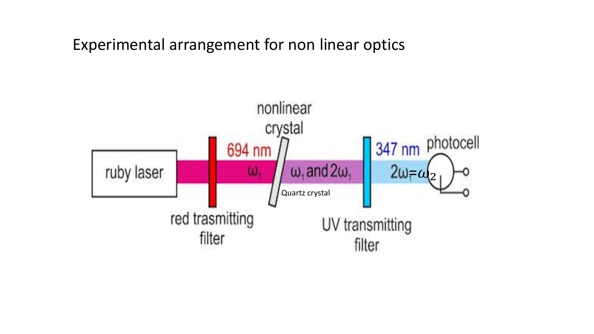Experimental arrangement for non linear optics

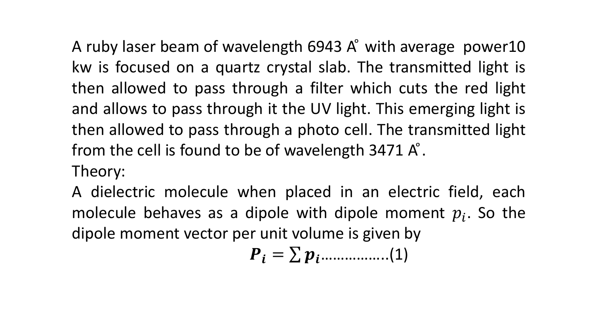A ruby laser beam of wavelength 6943 A° with average power10 kw is focused on a quartz crystal slab. The transmitted light is then allowed to pass through a filter which cuts the red light and allows to pass through it the UV light. This emerging light is then allowed to pass through a photo cell. The transmitted light from the cell is found to be of wavelength  $3471 \text{ A}^{\circ}$ .

Theory:

A dielectric molecule when placed in an electric field, each molecule behaves as a dipole with dipole moment  $p_i$ . So the dipole moment vector per unit volume is given by

$$
\boldsymbol{P}_i = \sum \boldsymbol{p}_i \dots \dots \dots \dots \dots (1)
$$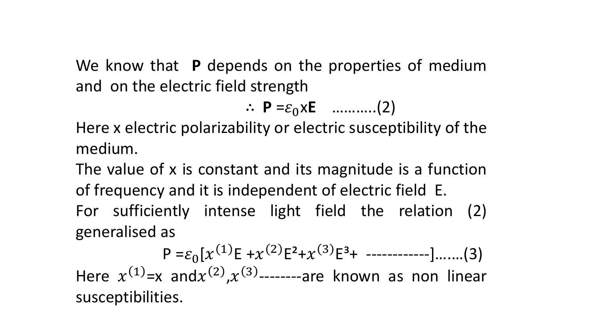We know that **P** depends on the properties of medium and on the electric field strength

$$
\therefore \mathbf{P} = \varepsilon_0 \times \mathbf{E} \quad \dots \dots \dots \dots (2)
$$

Here x electric polarizability or electric susceptibility of the medium.

The value of x is constant and its magnitude is a function of frequency and it is independent of electric field E. For sufficiently intense light field the relation (2) generalised as

 $P = \varepsilon_0 [x^{(1)}E + x^{(2)}E^2 + x^{(3)}E^3 + \cdots + \cdots]$  .......(3) Here  $x^{(1)}$ =x and $x^{(2)}$ , $x^{(3)}$ --------are known as non linear susceptibilities.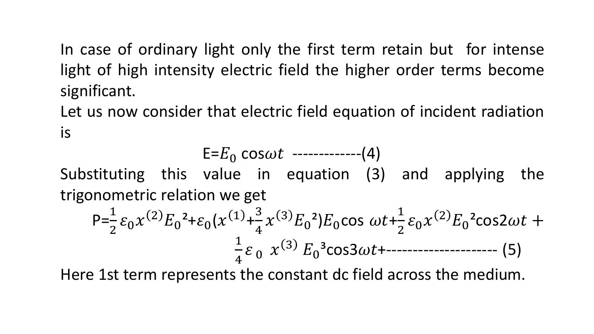In case of ordinary light only the first term retain but for intense light of high intensity electric field the higher order terms become significant.

Let us now consider that electric field equation of incident radiation is

$$
E=E_0 \cos \omega t
$$
 --- (4)

Substituting this value in equation (3) and applying the trigonometric relation we get

$$
P = \frac{1}{2} \varepsilon_0 x^{(2)} E_0^2 + \varepsilon_0 (x^{(1)} + \frac{3}{4} x^{(3)} E_0^2) E_0 \cos \omega t + \frac{1}{2} \varepsilon_0 x^{(2)} E_0^2 \cos 2\omega t + \frac{1}{4} \varepsilon_0 x^{(3)} E_0^3 \cos 3\omega t + \cdots
$$
 (5)

Here 1st term represents the constant dc field across the medium.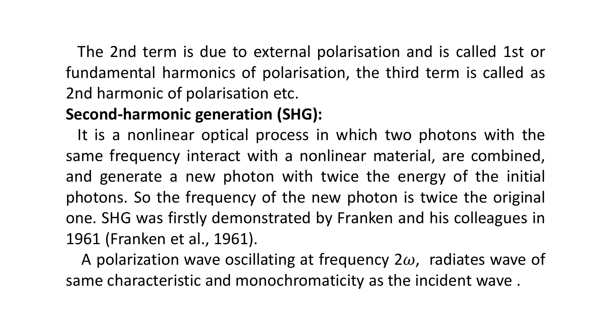The 2nd term is due to external polarisation and is called 1st or fundamental harmonics of polarisation, the third term is called as 2nd harmonic of polarisation etc.

## **Second-harmonic generation (SHG):**

It is a nonlinear optical process in which two photons with the same frequency interact with a nonlinear material, are combined, and generate a new photon with twice the energy of the initial photons. So the frequency of the new photon is twice the original one. SHG was firstly demonstrated by Franken and his colleagues in 1961 (Franken et al., 1961).

A polarization wave oscillating at frequency  $2\omega$ , radiates wave of same characteristic and monochromaticity as the incident wave .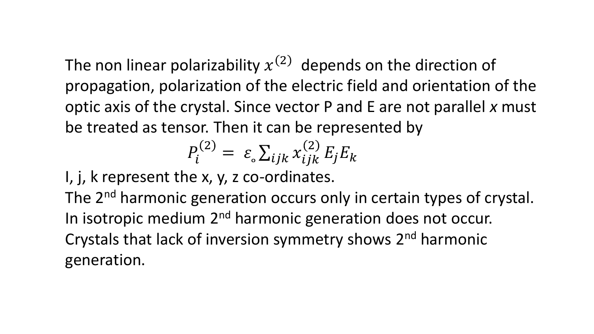The non linear polarizability  $x^{(2)}$  depends on the direction of propagation, polarization of the electric field and orientation of the optic axis of the crystal. Since vector P and E are not parallel *x* must be treated as tensor. Then it can be represented by

$$
P_i^{(2)} = \varepsilon \sum_{ijk} x_{ijk}^{(2)} E_j E_k
$$

I, j, k represent the x, y, z co-ordinates.

The 2<sup>nd</sup> harmonic generation occurs only in certain types of crystal. In isotropic medium 2<sup>nd</sup> harmonic generation does not occur. Crystals that lack of inversion symmetry shows 2<sup>nd</sup> harmonic generation.